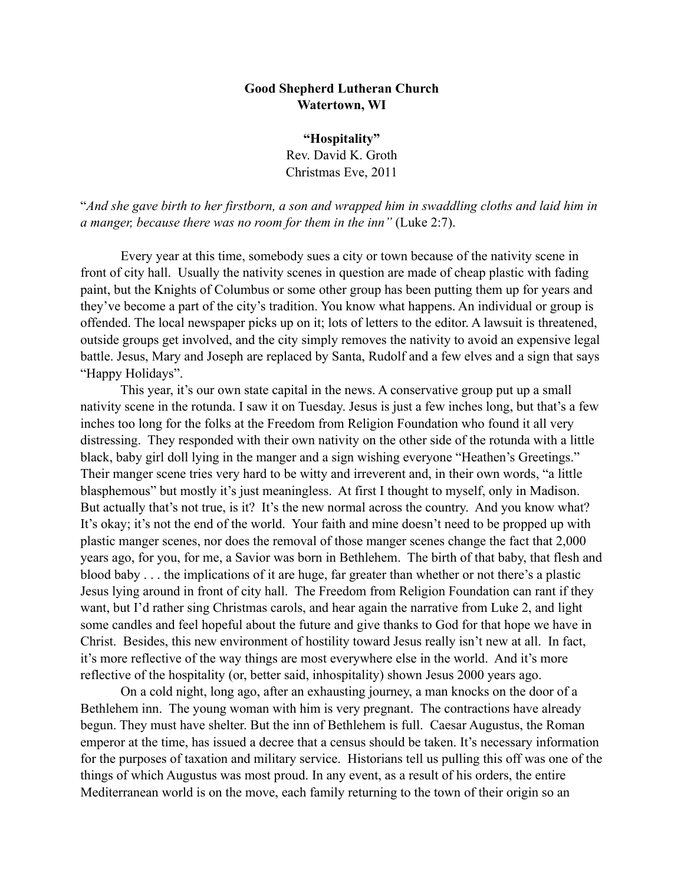## **Good Shepherd Lutheran Church Watertown, WI**

**"Hospitality"** Rev. David K. Groth Christmas Eve, 2011

"*And she gave birth to her firstborn, a son and wrapped him in swaddling cloths and laid him in a manger, because there was no room for them in the inn"* (Luke 2:7).

 Every year at this time, somebody sues a city or town because of the nativity scene in front of city hall. Usually the nativity scenes in question are made of cheap plastic with fading paint, but the Knights of Columbus or some other group has been putting them up for years and they've become a part of the city's tradition. You know what happens. An individual or group is offended. The local newspaper picks up on it; lots of letters to the editor. A lawsuit is threatened, outside groups get involved, and the city simply removes the nativity to avoid an expensive legal battle. Jesus, Mary and Joseph are replaced by Santa, Rudolf and a few elves and a sign that says "Happy Holidays".

 This year, it's our own state capital in the news. A conservative group put up a small nativity scene in the rotunda. I saw it on Tuesday. Jesus is just a few inches long, but that's a few inches too long for the folks at the Freedom from Religion Foundation who found it all very distressing. They responded with their own nativity on the other side of the rotunda with a little black, baby girl doll lying in the manger and a sign wishing everyone "Heathen's Greetings." Their manger scene tries very hard to be witty and irreverent and, in their own words, "a little blasphemous" but mostly it's just meaningless. At first I thought to myself, only in Madison. But actually that's not true, is it? It's the new normal across the country. And you know what? It's okay; it's not the end of the world. Your faith and mine doesn't need to be propped up with plastic manger scenes, nor does the removal of those manger scenes change the fact that 2,000 years ago, for you, for me, a Savior was born in Bethlehem. The birth of that baby, that flesh and blood baby . . . the implications of it are huge, far greater than whether or not there's a plastic Jesus lying around in front of city hall. The Freedom from Religion Foundation can rant if they want, but I'd rather sing Christmas carols, and hear again the narrative from Luke 2, and light some candles and feel hopeful about the future and give thanks to God for that hope we have in Christ. Besides, this new environment of hostility toward Jesus really isn't new at all. In fact, it's more reflective of the way things are most everywhere else in the world. And it's more reflective of the hospitality (or, better said, inhospitality) shown Jesus 2000 years ago.

On a cold night, long ago, after an exhausting journey, a man knocks on the door of a Bethlehem inn. The young woman with him is very pregnant. The contractions have already begun. They must have shelter. But the inn of Bethlehem is full. Caesar Augustus, the Roman emperor at the time, has issued a decree that a census should be taken. It's necessary information for the purposes of taxation and military service. Historians tell us pulling this off was one of the things of which Augustus was most proud. In any event, as a result of his orders, the entire Mediterranean world is on the move, each family returning to the town of their origin so an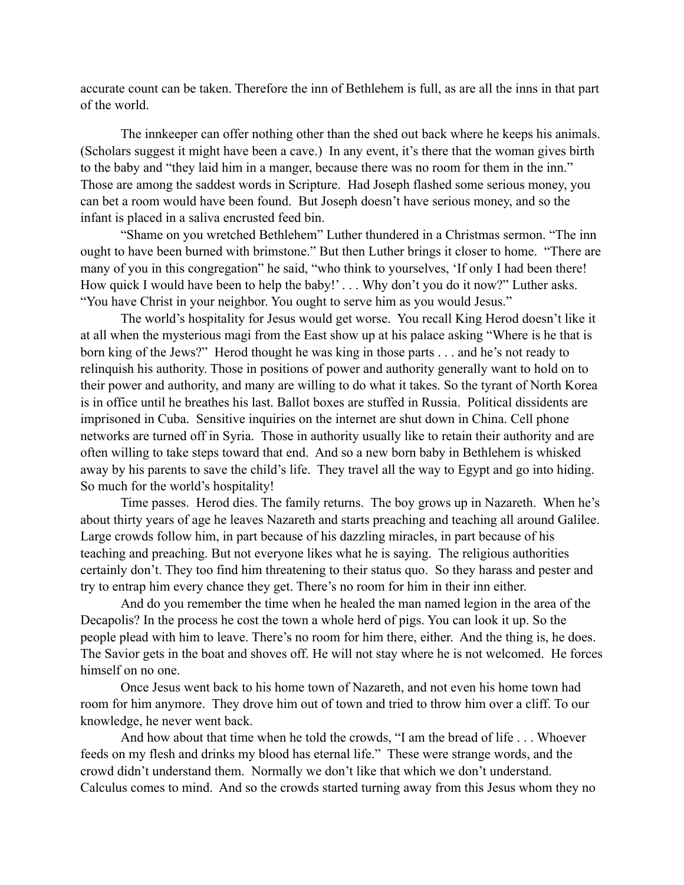accurate count can be taken. Therefore the inn of Bethlehem is full, as are all the inns in that part of the world.

The innkeeper can offer nothing other than the shed out back where he keeps his animals. (Scholars suggest it might have been a cave.) In any event, it's there that the woman gives birth to the baby and "they laid him in a manger, because there was no room for them in the inn." Those are among the saddest words in Scripture. Had Joseph flashed some serious money, you can bet a room would have been found. But Joseph doesn't have serious money, and so the infant is placed in a saliva encrusted feed bin.

"Shame on you wretched Bethlehem" Luther thundered in a Christmas sermon. "The inn ought to have been burned with brimstone." But then Luther brings it closer to home. "There are many of you in this congregation" he said, "who think to yourselves, 'If only I had been there! How quick I would have been to help the baby!'... Why don't you do it now?" Luther asks. "You have Christ in your neighbor. You ought to serve him as you would Jesus."

The world's hospitality for Jesus would get worse. You recall King Herod doesn't like it at all when the mysterious magi from the East show up at his palace asking "Where is he that is born king of the Jews?" Herod thought he was king in those parts . . . and he's not ready to relinquish his authority. Those in positions of power and authority generally want to hold on to their power and authority, and many are willing to do what it takes. So the tyrant of North Korea is in office until he breathes his last. Ballot boxes are stuffed in Russia. Political dissidents are imprisoned in Cuba. Sensitive inquiries on the internet are shut down in China. Cell phone networks are turned off in Syria. Those in authority usually like to retain their authority and are often willing to take steps toward that end. And so a new born baby in Bethlehem is whisked away by his parents to save the child's life. They travel all the way to Egypt and go into hiding. So much for the world's hospitality!

Time passes. Herod dies. The family returns. The boy grows up in Nazareth. When he's about thirty years of age he leaves Nazareth and starts preaching and teaching all around Galilee. Large crowds follow him, in part because of his dazzling miracles, in part because of his teaching and preaching. But not everyone likes what he is saying. The religious authorities certainly don't. They too find him threatening to their status quo. So they harass and pester and try to entrap him every chance they get. There's no room for him in their inn either.

And do you remember the time when he healed the man named legion in the area of the Decapolis? In the process he cost the town a whole herd of pigs. You can look it up. So the people plead with him to leave. There's no room for him there, either. And the thing is, he does. The Savior gets in the boat and shoves off. He will not stay where he is not welcomed. He forces himself on no one.

Once Jesus went back to his home town of Nazareth, and not even his home town had room for him anymore. They drove him out of town and tried to throw him over a cliff. To our knowledge, he never went back.

And how about that time when he told the crowds, "I am the bread of life . . . Whoever feeds on my flesh and drinks my blood has eternal life." These were strange words, and the crowd didn't understand them. Normally we don't like that which we don't understand. Calculus comes to mind. And so the crowds started turning away from this Jesus whom they no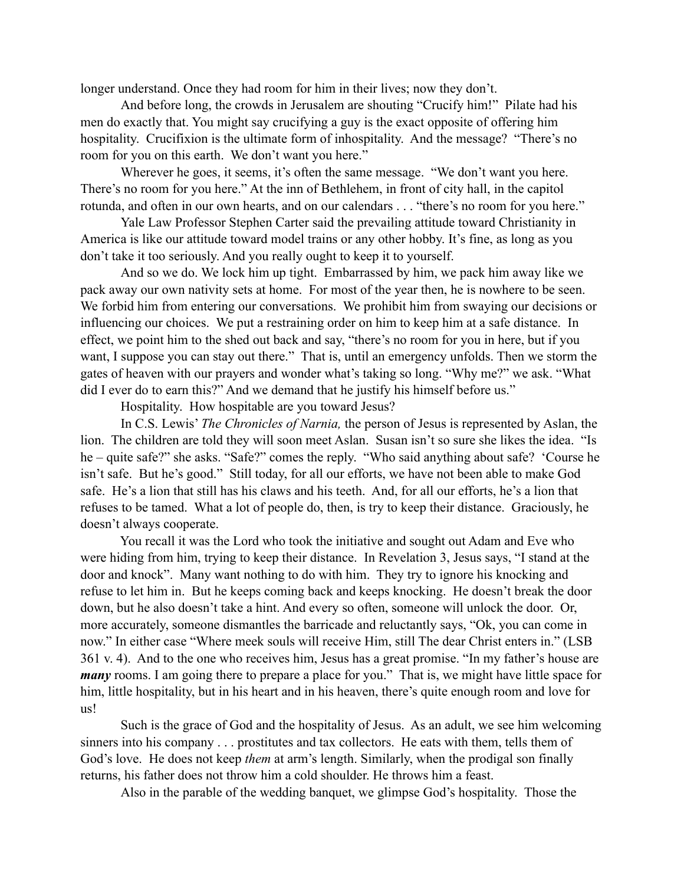longer understand. Once they had room for him in their lives; now they don't.

And before long, the crowds in Jerusalem are shouting "Crucify him!" Pilate had his men do exactly that. You might say crucifying a guy is the exact opposite of offering him hospitality. Crucifixion is the ultimate form of inhospitality. And the message? "There's no room for you on this earth. We don't want you here."

Wherever he goes, it seems, it's often the same message. "We don't want you here. There's no room for you here." At the inn of Bethlehem, in front of city hall, in the capitol rotunda, and often in our own hearts, and on our calendars . . . "there's no room for you here."

Yale Law Professor Stephen Carter said the prevailing attitude toward Christianity in America is like our attitude toward model trains or any other hobby. It's fine, as long as you don't take it too seriously. And you really ought to keep it to yourself.

And so we do. We lock him up tight. Embarrassed by him, we pack him away like we pack away our own nativity sets at home. For most of the year then, he is nowhere to be seen. We forbid him from entering our conversations. We prohibit him from swaying our decisions or influencing our choices. We put a restraining order on him to keep him at a safe distance. In effect, we point him to the shed out back and say, "there's no room for you in here, but if you want, I suppose you can stay out there." That is, until an emergency unfolds. Then we storm the gates of heaven with our prayers and wonder what's taking so long. "Why me?" we ask. "What did I ever do to earn this?" And we demand that he justify his himself before us."

Hospitality. How hospitable are you toward Jesus?

 In C.S. Lewis' *The Chronicles of Narnia,* the person of Jesus is represented by Aslan, the lion. The children are told they will soon meet Aslan. Susan isn't so sure she likes the idea. "Is he – quite safe?" she asks. "Safe?" comes the reply. "Who said anything about safe? 'Course he isn't safe. But he's good." Still today, for all our efforts, we have not been able to make God safe. He's a lion that still has his claws and his teeth. And, for all our efforts, he's a lion that refuses to be tamed. What a lot of people do, then, is try to keep their distance. Graciously, he doesn't always cooperate.

 You recall it was the Lord who took the initiative and sought out Adam and Eve who were hiding from him, trying to keep their distance. In Revelation 3, Jesus says, "I stand at the door and knock". Many want nothing to do with him. They try to ignore his knocking and refuse to let him in. But he keeps coming back and keeps knocking. He doesn't break the door down, but he also doesn't take a hint. And every so often, someone will unlock the door. Or, more accurately, someone dismantles the barricade and reluctantly says, "Ok, you can come in now." In either case "Where meek souls will receive Him, still The dear Christ enters in." (LSB 361 v. 4). And to the one who receives him, Jesus has a great promise. "In my father's house are *many* rooms. I am going there to prepare a place for you." That is, we might have little space for him, little hospitality, but in his heart and in his heaven, there's quite enough room and love for us!

Such is the grace of God and the hospitality of Jesus. As an adult, we see him welcoming sinners into his company . . . prostitutes and tax collectors. He eats with them, tells them of God's love. He does not keep *them* at arm's length. Similarly, when the prodigal son finally returns, his father does not throw him a cold shoulder. He throws him a feast.

Also in the parable of the wedding banquet, we glimpse God's hospitality. Those the